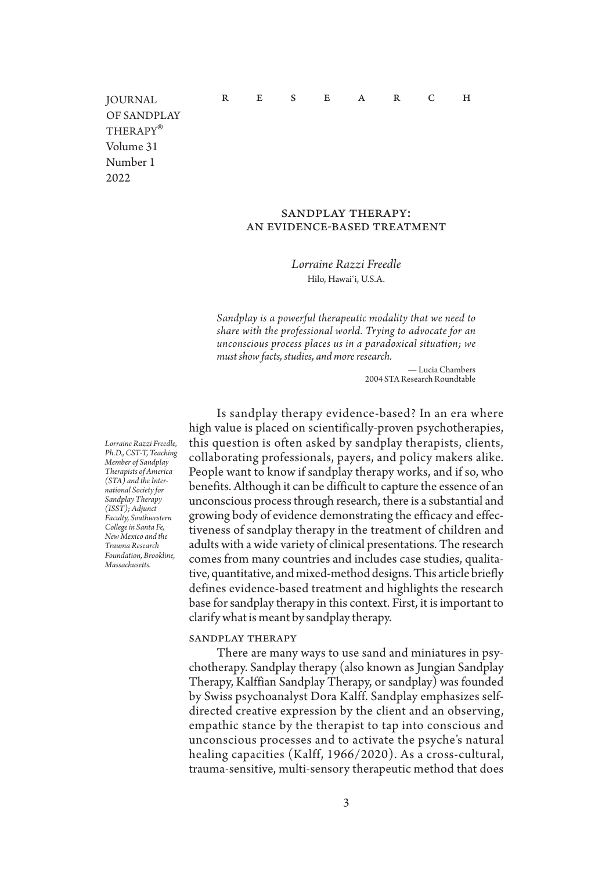R E S E A R C H

JOURNAL OF SANDPLAY THERAPY<sup>®</sup><br>Volume 31 Number 1 2022

# sandplay therapy: an evidence-based treatment

*Lorraine Razzi Freedle* Hilo, Hawaiʻi, U.S.A.

*Sandplay is a powerful therapeutic modality that we need to share with the professional world. Trying to advocate for an unconscious process places us in a paradoxical situation; we must show facts, studies, and more research.*

> — Lucia Chambers 2004 STA Research Roundtable

Is sandplay therapy evidence-based? In an era where high value is placed on scientifically-proven psychotherapies, this question is often asked by sandplay therapists, clients, collaborating professionals, payers, and policy makers alike. People want to know if sandplay therapy works, and if so, who benefits. Although it can be difficult to capture the essence of an unconscious process through research, there is a substantial and growing body of evidence demonstrating the efficacy and effectiveness of sandplay therapy in the treatment of children and adults with a wide variety of clinical presentations. The research comes from many countries and includes case studies, qualitative, quantitative, and mixed-method designs. This article briefly defines evidence-based treatment and highlights the research base for sandplay therapy in this context. First, it is important to clarify what is meant by sandplay therapy.

#### sandplay therapy

There are many ways to use sand and miniatures in psychotherapy. Sandplay therapy (also known as Jungian Sandplay Therapy, Kalffian Sandplay Therapy, or sandplay) was founded by Swiss psychoanalyst Dora Kalff. Sandplay emphasizes selfdirected creative expression by the client and an observing, empathic stance by the therapist to tap into conscious and unconscious processes and to activate the psyche's natural healing capacities (Kalff, 1966/2020). As a cross-cultural, trauma-sensitive, multi-sensory therapeutic method that does

*Lorraine Razzi Freedle, Ph.D., CST-T, Teaching Member of Sandplay Therapists of America (STA) and the International Society for Sandplay Therapy (ISST); Adjunct Faculty, Southwestern College in Santa Fe, New Mexico and the Trauma Research Foundation, Brookline, Massachusetts.*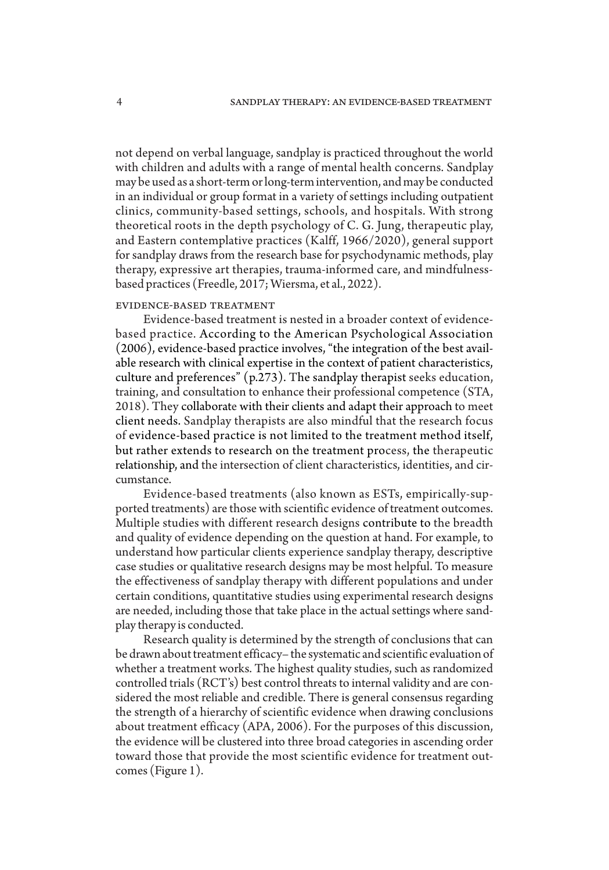not depend on verbal language, sandplay is practiced throughout the world with children and adults with a range of mental health concerns. Sandplay may be used as a short-term or long-term intervention, and may be conducted in an individual or group format in a variety of settings including outpatient clinics, community-based settings, schools, and hospitals. With strong theoretical roots in the depth psychology of C. G. Jung, therapeutic play, and Eastern contemplative practices (Kalff, 1966/2020), general support for sandplay draws from the research base for psychodynamic methods, play therapy, expressive art therapies, trauma-informed care, and mindfulnessbased practices (Freedle, 2017; Wiersma, et al., 2022).

# evidence-based treatment

Evidence-based treatment is nested in a broader context of evidencebased practice. According to the American Psychological Association (2006), evidence-based practice involves, "the integration of the best available research with clinical expertise in the context of patient characteristics, culture and preferences" (p.273). The sandplay therapist seeks education, training, and consultation to enhance their professional competence (STA, 2018). They collaborate with their clients and adapt their approach to meet client needs. Sandplay therapists are also mindful that the research focus of evidence-based practice is not limited to the treatment method itself, but rather extends to research on the treatment process, the therapeutic relationship, and the intersection of client characteristics, identities, and circumstance.

Evidence-based treatments (also known as ESTs, empirically-supported treatments) are those with scientific evidence of treatment outcomes. Multiple studies with different research designs contribute to the breadth and quality of evidence depending on the question at hand. For example, to understand how particular clients experience sandplay therapy, descriptive case studies or qualitative research designs may be most helpful. To measure the effectiveness of sandplay therapy with different populations and under certain conditions, quantitative studies using experimental research designs are needed, including those that take place in the actual settings where sandplay therapy is conducted.

Research quality is determined by the strength of conclusions that can be drawn about treatment efficacy– the systematic and scientific evaluation of whether a treatment works. The highest quality studies, such as randomized controlled trials (RCT's) best control threats to internal validity and are considered the most reliable and credible. There is general consensus regarding the strength of a hierarchy of scientific evidence when drawing conclusions about treatment efficacy (APA, 2006). For the purposes of this discussion, the evidence will be clustered into three broad categories in ascending order toward those that provide the most scientific evidence for treatment outcomes (Figure 1).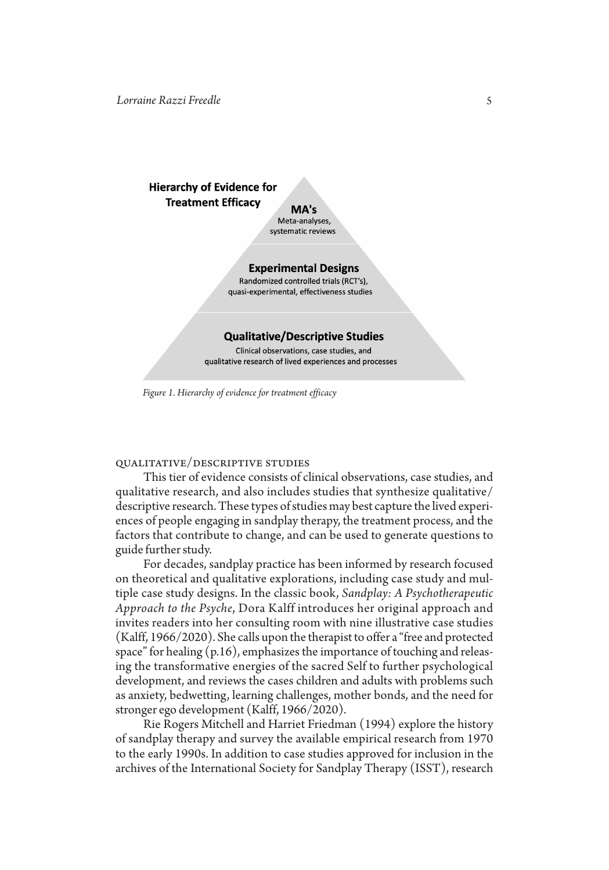# **Hierarchy of Evidence for Treatment Efficacy**

MA's Meta-analyses, systematic reviews

## **Experimental Designs**

Randomized controlled trials (RCT's), quasi-experimental, effectiveness studies

#### **Qualitative/Descriptive Studies**

Clinical observations, case studies, and qualitative research of lived experiences and processes

*Figure 1. Hierarchy of evidence for treatment efficacy*

# qualitative/descriptive studies

This tier of evidence consists of clinical observations, case studies, and qualitative research, and also includes studies that synthesize qualitative/ descriptive research. These types of studies may best capture the lived experiences of people engaging in sandplay therapy, the treatment process, and the factors that contribute to change, and can be used to generate questions to guide further study.

For decades, sandplay practice has been informed by research focused on theoretical and qualitative explorations, including case study and multiple case study designs. In the classic book, *Sandplay: A Psychotherapeutic Approach to the Psyche*, Dora Kalff introduces her original approach and invites readers into her consulting room with nine illustrative case studies (Kalff, 1966/2020). She calls upon the therapist to offer a "free and protected space" for healing  $(p.16)$ , emphasizes the importance of touching and releasing the transformative energies of the sacred Self to further psychological development, and reviews the cases children and adults with problems such as anxiety, bedwetting, learning challenges, mother bonds, and the need for stronger ego development (Kalff, 1966/2020).

Rie Rogers Mitchell and Harriet Friedman (1994) explore the history of sandplay therapy and survey the available empirical research from 1970 to the early 1990s. In addition to case studies approved for inclusion in the archives of the International Society for Sandplay Therapy (ISST), research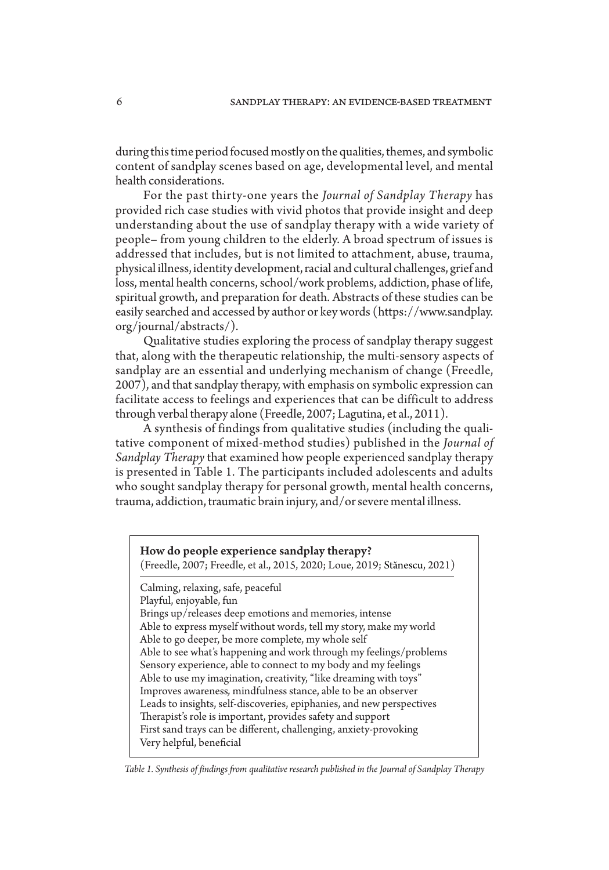during this time period focused mostly on the qualities, themes, and symbolic content of sandplay scenes based on age, developmental level, and mental health considerations.

For the past thirty-one years the *Journal of Sandplay Therapy* has provided rich case studies with vivid photos that provide insight and deep understanding about the use of sandplay therapy with a wide variety of people– from young children to the elderly. A broad spectrum of issues is addressed that includes, but is not limited to attachment, abuse, trauma, physical illness, identity development, racial and cultural challenges, grief and loss, mental health concerns, school/work problems, addiction, phase of life, spiritual growth, and preparation for death. Abstracts of these studies can be easily searched and accessed by author or key words (https://www.sandplay. org/journal/abstracts/).

Qualitative studies exploring the process of sandplay therapy suggest that, along with the therapeutic relationship, the multi-sensory aspects of sandplay are an essential and underlying mechanism of change (Freedle, 2007), and that sandplay therapy, with emphasis on symbolic expression can facilitate access to feelings and experiences that can be difficult to address through verbal therapy alone (Freedle, 2007; Lagutina, et al., 2011).

A synthesis of findings from qualitative studies (including the qualitative component of mixed-method studies) published in the *Journal of Sandplay Therapy* that examined how people experienced sandplay therapy is presented in Table 1. The participants included adolescents and adults who sought sandplay therapy for personal growth, mental health concerns, trauma, addiction, traumatic brain injury, and/or severe mental illness.

How do people experience sandplay therapy? (Freedle, 2007; Freedle, et al., 2015, 2020; Loue, 2019; Stănescu, 2021) Calming, relaxing, safe, peaceful Playful, enjoyable, fun Brings up/releases deep emotions and memories, intense Able to express myself without words, tell my story, make my world Able to go deeper, be more complete, my whole self Able to see what's happening and work through my feelings/problems Sensory experience, able to connect to my body and my feelings Able to use my imagination, creativity, "like dreaming with toys" Improves awareness*,* mindfulness stance, able to be an observer Leads to insights, self-discoveries, epiphanies, and new perspectives Therapist's role is important, provides safety and support First sand trays can be different, challenging, anxiety-provoking Very helpful, beneficial

*Table 1. Synthesis of findings from qualitative research published in the Journal of Sandplay Therapy*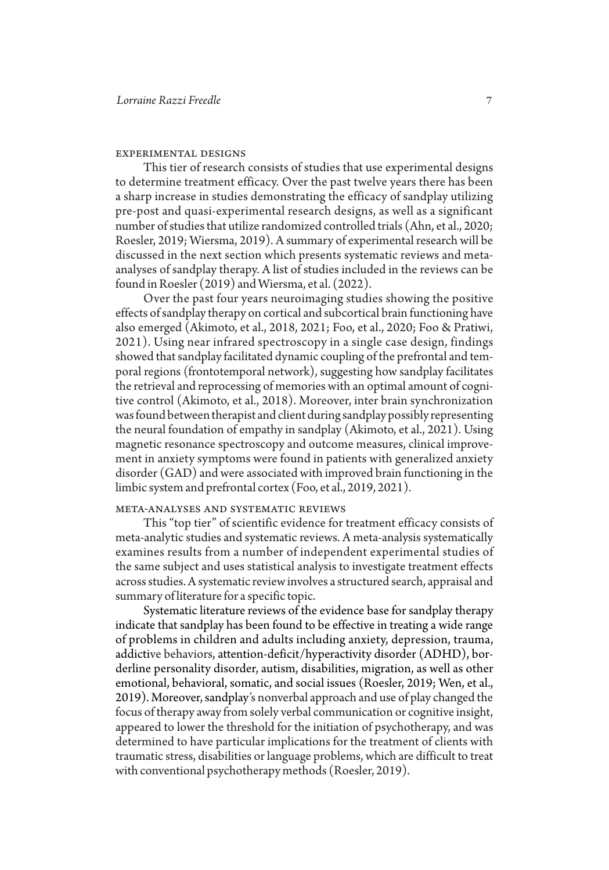### experimental designs

This tier of research consists of studies that use experimental designs to determine treatment efficacy. Over the past twelve years there has been a sharp increase in studies demonstrating the efficacy of sandplay utilizing pre-post and quasi-experimental research designs, as well as a significant number of studies that utilize randomized controlled trials (Ahn, et al., 2020; Roesler, 2019; Wiersma, 2019). A summary of experimental research will be discussed in the next section which presents systematic reviews and metaanalyses of sandplay therapy. A list of studies included in the reviews can be found in Roesler (2019) and Wiersma, et al. (2022).

Over the past four years neuroimaging studies showing the positive effects of sandplay therapy on cortical and subcortical brain functioning have also emerged (Akimoto, et al., 2018, 2021; Foo, et al., 2020; Foo & Pratiwi, 2021). Using near infrared spectroscopy in a single case design, findings showed that sandplay facilitated dynamic coupling of the prefrontal and temporal regions (frontotemporal network), suggesting how sandplay facilitates the retrieval and reprocessing of memories with an optimal amount of cognitive control (Akimoto, et al., 2018). Moreover, inter brain synchronization was found between therapist and client during sandplay possibly representing the neural foundation of empathy in sandplay (Akimoto, et al., 2021). Using magnetic resonance spectroscopy and outcome measures, clinical improvement in anxiety symptoms were found in patients with generalized anxiety disorder (GAD) and were associated with improved brain functioning in the limbic system and prefrontal cortex (Foo, et al., 2019, 2021).

## meta-analyses and systematic reviews

This "top tier" of scientific evidence for treatment efficacy consists of meta-analytic studies and systematic reviews. A meta-analysis systematically examines results from a number of independent experimental studies of the same subject and uses statistical analysis to investigate treatment effects across studies. A systematic review involves a structured search, appraisal and summary of literature for a specific topic.

Systematic literature reviews of the evidence base for sandplay therapy indicate that sandplay has been found to be effective in treating a wide range of problems in children and adults including anxiety, depression, trauma, addictive behaviors, attention-deficit/hyperactivity disorder (ADHD), borderline personality disorder, autism, disabilities, migration, as well as other emotional, behavioral, somatic, and social issues (Roesler, 2019; Wen, et al., 2019). Moreover, sandplay's nonverbal approach and use of play changed the focus of therapy away from solely verbal communication or cognitive insight, appeared to lower the threshold for the initiation of psychotherapy, and was determined to have particular implications for the treatment of clients with traumatic stress, disabilities or language problems, which are difficult to treat with conventional psychotherapy methods (Roesler, 2019).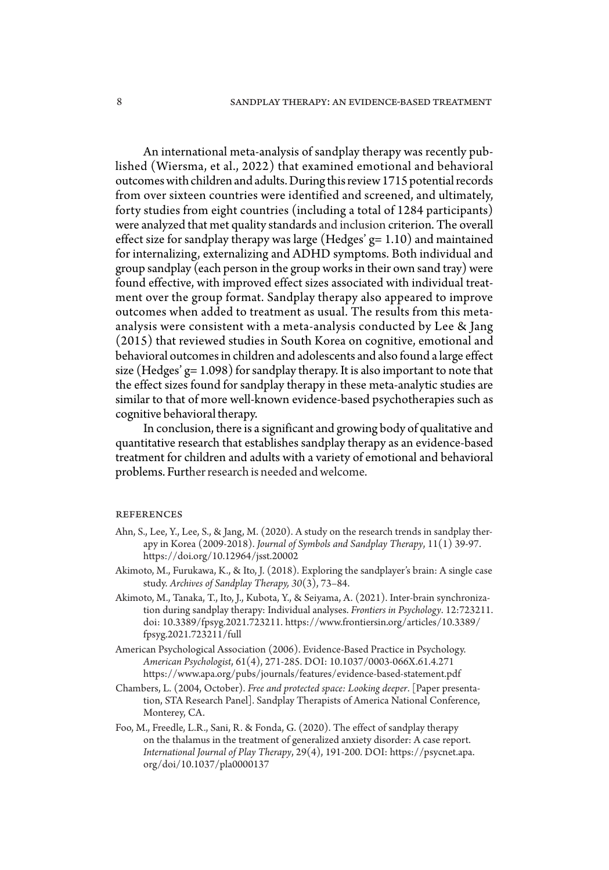An international meta-analysis of sandplay therapy was recently published (Wiersma, et al., 2022) that examined emotional and behavioral outcomes with children and adults. During this review 1715 potential records from over sixteen countries were identified and screened, and ultimately, forty studies from eight countries (including a total of 1284 participants) were analyzed that met quality standards and inclusion criterion. The overall effect size for sandplay therapy was large (Hedges'  $g=1.10$ ) and maintained for internalizing, externalizing and ADHD symptoms. Both individual and group sandplay (each person in the group works in their own sand tray) were found effective, with improved effect sizes associated with individual treatment over the group format. Sandplay therapy also appeared to improve outcomes when added to treatment as usual. The results from this metaanalysis were consistent with a meta-analysis conducted by Lee & Jang (2015) that reviewed studies in South Korea on cognitive, emotional and behavioral outcomes in children and adolescents and also found a large effect size (Hedges' g= 1.098) for sandplay therapy. It is also important to note that the effect sizes found for sandplay therapy in these meta-analytic studies are similar to that of more well-known evidence-based psychotherapies such as cognitive behavioral therapy.

In conclusion, there is a significant and growing body of qualitative and quantitative research that establishes sandplay therapy as an evidence-based treatment for children and adults with a variety of emotional and behavioral problems. Further research is needed and welcome.

#### **REFERENCES**

- Ahn, S., Lee, Y., Lee, S., & Jang, M. (2020). A study on the research trends in sandplay therapy in Korea (2009-2018). *Journal of Symbols and Sandplay Therapy*, 11(1) 39-97. https://doi.org/10.12964/jsst.20002
- Akimoto, M., Furukawa, K., & Ito, J. (2018). Exploring the sandplayer's brain: A single case study. *Archives of Sandplay Therapy, 30*(3), 73–84.
- Akimoto, M., Tanaka, T., Ito, J., Kubota, Y., & Seiyama, A. (2021). Inter-brain synchronization during sandplay therapy: Individual analyses. *Frontiers in Psychology*. 12:723211. doi: 10.3389/fpsyg.2021.723211. https://www.frontiersin.org/articles/10.3389/ fpsyg.2021.723211/full
- American Psychological Association (2006). Evidence-Based Practice in Psychology. *American Psychologist*, 61(4), 271-285. DOI: 10.1037/0003-066X.61.4.271 https://www.apa.org/pubs/journals/features/evidence-based-statement.pdf
- Chambers, L. (2004, October). *Free and protected space: Looking deeper*. [Paper presentation, STA Research Panel]. Sandplay Therapists of America National Conference, Monterey, CA.
- Foo, M., Freedle, L.R., Sani, R. & Fonda, G. (2020). The effect of sandplay therapy on the thalamus in the treatment of generalized anxiety disorder: A case report. *International Journal of Play Therapy*, 29(4), 191-200. DOI: https://psycnet.apa. org/doi/10.1037/pla0000137